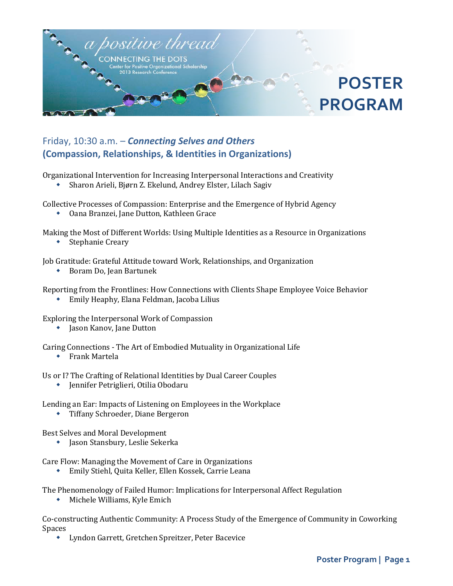

## Friday, 10:30 a.m. – *Connecting Selves and Others* **(Compassion, Relationships, & Identities in Organizations)**

Organizational Intervention for Increasing Interpersonal Interactions and Creativity

Sharon Arieli, Bjørn Z. Ekelund, Andrey Elster, Lilach Sagiv

Collective Processes of Compassion: Enterprise and the Emergence of Hybrid Agency

Oana Branzei, Jane Dutton, Kathleen Grace

Making the Most of Different Worlds: Using Multiple Identities as a Resource in Organizations

Stephanie Creary

Job Gratitude: Grateful Attitude toward Work, Relationships, and Organization

Boram Do, Jean Bartunek

Reporting from the Frontlines: How Connections with Clients Shape Employee Voice Behavior

Emily Heaphy, Elana Feldman, Jacoba Lilius

Exploring the Interpersonal Work of Compassion

• Jason Kanov, Jane Dutton

Caring Connections - The Art of Embodied Mutuality in Organizational Life

Frank Martela

Us or I? The Crafting of Relational Identities by Dual Career Couples

Jennifer Petriglieri, Otilia Obodaru

Lending an Ear: Impacts of Listening on Employees in the Workplace

Tiffany Schroeder, Diane Bergeron

Best Selves and Moral Development

**•** Jason Stansbury, Leslie Sekerka

Care Flow: Managing the Movement of Care in Organizations

Emily Stiehl, Quita Keller, Ellen Kossek, Carrie Leana

The Phenomenology of Failed Humor: Implications for Interpersonal Affect Regulation

Michele Williams, Kyle Emich

Co-constructing Authentic Community: A Process Study of the Emergence of Community in Coworking Spaces

Lyndon Garrett, Gretchen Spreitzer, Peter Bacevice